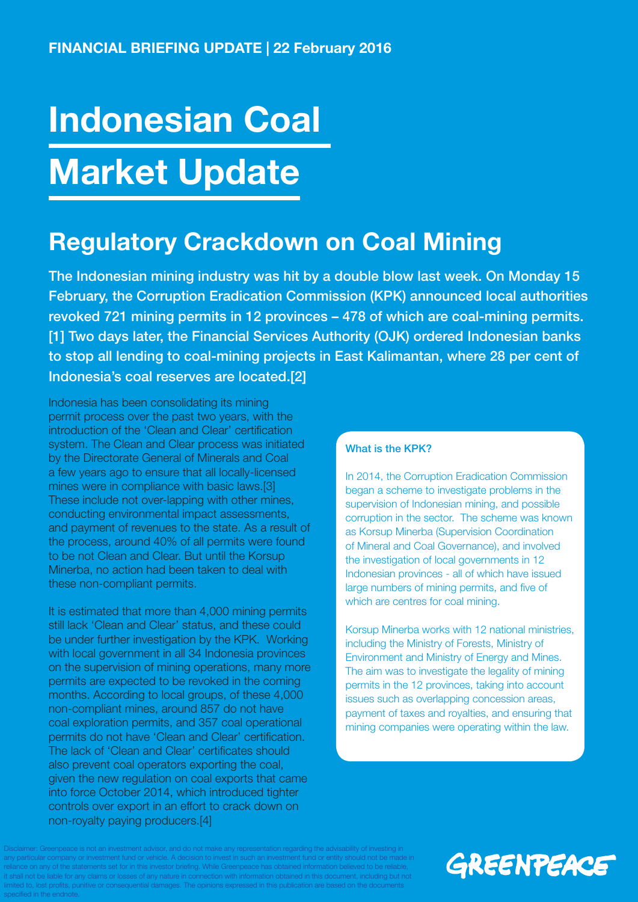# Indonesian Coal Market Update

### Regulatory Crackdown on Coal Mining

The Indonesian mining industry was hit by a double blow last week. On Monday 15 February, the Corruption Eradication Commission (KPK) announced local authorities revoked 721 mining permits in 12 provinces – 478 of which are coal-mining permits. [1] Two days later, the Financial Services Authority (OJK) ordered Indonesian banks to stop all lending to coal-mining projects in East Kalimantan, where 28 per cent of Indonesia's coal reserves are located.[2]

Indonesia has been consolidating its mining permit process over the past two years, with the introduction of the 'Clean and Clear' certification system. The Clean and Clear process was initiated by the Directorate General of Minerals and Coal a few years ago to ensure that all locally-licensed mines were in compliance with basic laws.[3] These include not over-lapping with other mines, conducting environmental impact assessments, and payment of revenues to the state. As a result of the process, around 40% of all permits were found to be not Clean and Clear. But until the Korsup Minerba, no action had been taken to deal with these non-compliant permits.

It is estimated that more than 4,000 mining permits still lack 'Clean and Clear' status, and these could be under further investigation by the KPK. Working with local government in all 34 Indonesia provinces on the supervision of mining operations, many more permits are expected to be revoked in the coming months. According to local groups, of these 4,000 non-compliant mines, around 857 do not have coal exploration permits, and 357 coal operational permits do not have 'Clean and Clear' certification. The lack of 'Clean and Clear' certificates should also prevent coal operators exporting the coal, given the new regulation on coal exports that came into force October 2014, which introduced tighter controls over export in an effort to crack down on non-royalty paying producers.[4]

### What is the KPK?

In 2014, the Corruption Eradication Commission began a scheme to investigate problems in the supervision of Indonesian mining, and possible corruption in the sector. The scheme was known as Korsup Minerba (Supervision Coordination of Mineral and Coal Governance), and involved the investigation of local governments in 12 Indonesian provinces - all of which have issued large numbers of mining permits, and five of which are centres for coal mining.

Korsup Minerba works with 12 national ministries, including the Ministry of Forests, Ministry of Environment and Ministry of Energy and Mines. The aim was to investigate the legality of mining permits in the 12 provinces, taking into account issues such as overlapping concession areas, payment of taxes and royalties, and ensuring that mining companies were operating within the law.

oot an investment advisor, and do not make any representation regarding the advisability of investing in tular company or investment fund or vehicle. A decision to invest in such an investment fund or entity should not be made in on any of the statements set for in this investor briefing. While Greenpeace has obtained information believed to be reliable ot be liable for any claims or losses of any nature in connection with information obtained in this document, including but not mited to, lost profits, punitive or consequential damages. The opinions expressed in this publication are based on the documents

# GREENPEACE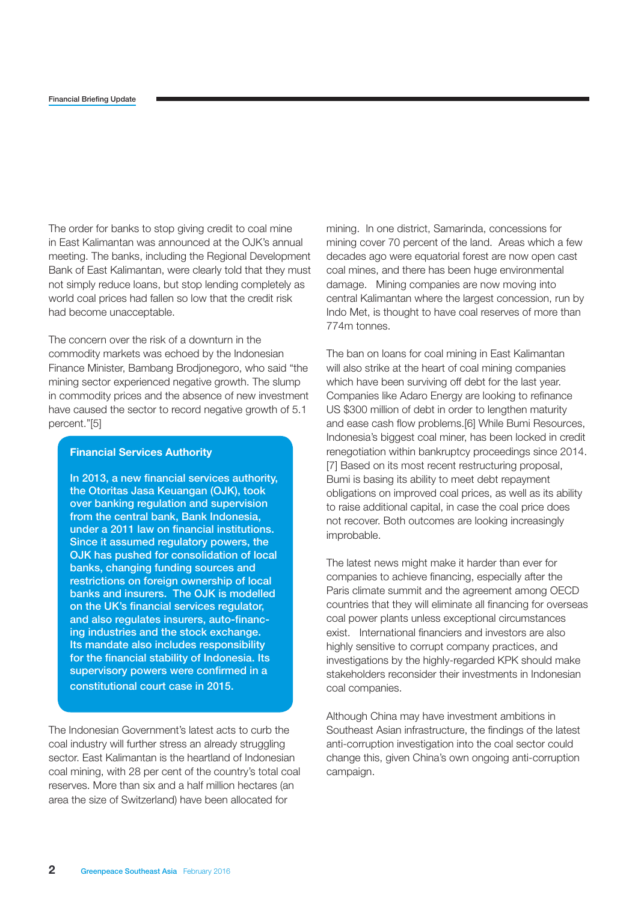The order for banks to stop giving credit to coal mine in East Kalimantan was announced at the OJK's annual meeting. The banks, including the Regional Development Bank of East Kalimantan, were clearly told that they must not simply reduce loans, but stop lending completely as world coal prices had fallen so low that the credit risk had become unacceptable.

The concern over the risk of a downturn in the commodity markets was echoed by the Indonesian Finance Minister, Bambang Brodjonegoro, who said "the mining sector experienced negative growth. The slump in commodity prices and the absence of new investment have caused the sector to record negative growth of 5.1 percent."[5]

#### **Financial Services Authority**

In 2013, a new financial services authority, the Otoritas Jasa Keuangan (OJK), took over banking regulation and supervision from the central bank, Bank Indonesia, under a 2011 law on financial institutions. Since it assumed regulatory powers, the OJK has pushed for consolidation of local banks, changing funding sources and restrictions on foreign ownership of local banks and insurers. The OJK is modelled on the UK's financial services regulator, and also regulates insurers, auto-financing industries and the stock exchange. Its mandate also includes responsibility for the financial stability of Indonesia. Its supervisory powers were confirmed in a constitutional court case in 2015.

The Indonesian Government's latest acts to curb the coal industry will further stress an already struggling sector. East Kalimantan is the heartland of Indonesian coal mining, with 28 per cent of the country's total coal reserves. More than six and a half million hectares (an area the size of Switzerland) have been allocated for

mining. In one district, Samarinda, concessions for mining cover 70 percent of the land. Areas which a few decades ago were equatorial forest are now open cast coal mines, and there has been huge environmental damage. Mining companies are now moving into central Kalimantan where the largest concession, run by Indo Met, is thought to have coal reserves of more than 774m tonnes.

The ban on loans for coal mining in East Kalimantan will also strike at the heart of coal mining companies which have been surviving off debt for the last year. Companies like Adaro Energy are looking to refinance US \$300 million of debt in order to lengthen maturity and ease cash flow problems.[6] While Bumi Resources, Indonesia's biggest coal miner, has been locked in credit renegotiation within bankruptcy proceedings since 2014. [7] Based on its most recent restructuring proposal, Bumi is basing its ability to meet debt repayment obligations on improved coal prices, as well as its ability to raise additional capital, in case the coal price does not recover. Both outcomes are looking increasingly improbable.

The latest news might make it harder than ever for companies to achieve financing, especially after the Paris climate summit and the agreement among OECD countries that they will eliminate all financing for overseas coal power plants unless exceptional circumstances exist. International financiers and investors are also highly sensitive to corrupt company practices, and investigations by the highly-regarded KPK should make stakeholders reconsider their investments in Indonesian coal companies.

Although China may have investment ambitions in Southeast Asian infrastructure, the findings of the latest anti-corruption investigation into the coal sector could change this, given China's own ongoing anti-corruption campaign.